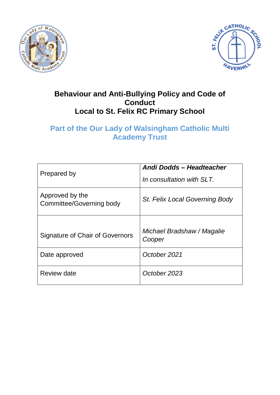



## **Behaviour and Anti-Bullying Policy and Code of Conduct Local to St. Felix RC Primary School**

# **Part of the Our Lady of Walsingham Catholic Multi Academy Trust**

| Prepared by                                 | Andi Dodds - Headteacher<br>In consultation with SLT. |
|---------------------------------------------|-------------------------------------------------------|
| Approved by the<br>Committee/Governing body | St. Felix Local Governing Body                        |
| Signature of Chair of Governors             | Michael Bradshaw / Magalie<br>Cooper                  |
| Date approved                               | October 2021                                          |
| Review date                                 | October 2023                                          |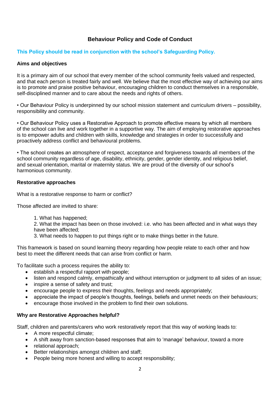### **Behaviour Policy and Code of Conduct**

### **This Policy should be read in conjunction with the school's Safeguarding Policy.**

### **Aims and objectives**

It is a primary aim of our school that every member of the school community feels valued and respected, and that each person is treated fairly and well. We believe that the most effective way of achieving our aims is to promote and praise positive behaviour, encouraging children to conduct themselves in a responsible, self-disciplined manner and to care about the needs and rights of others.

• Our Behaviour Policy is underpinned by our school mission statement and curriculum drivers – possibility, responsibility and community.

• Our Behaviour Policy uses a Restorative Approach to promote effective means by which all members of the school can live and work together in a supportive way. The aim of employing restorative approaches is to empower adults and children with skills, knowledge and strategies in order to successfully and proactively address conflict and behavioural problems.

• The school creates an atmosphere of respect, acceptance and forgiveness towards all members of the school community regardless of age, disability, ethnicity, gender, gender identity, and religious belief, and sexual orientation, marital or maternity status. We are proud of the diversity of our school's harmonious community.

#### **Restorative approaches**

What is a restorative response to harm or conflict?

Those affected are invited to share:

1. What has happened;

2. What the impact has been on those involved: i.e. who has been affected and in what ways they have been affected;

3. What needs to happen to put things right or to make things better in the future.

This framework is based on sound learning theory regarding how people relate to each other and how best to meet the different needs that can arise from conflict or harm.

To facilitate such a process requires the ability to:

- establish a respectful rapport with people;
- listen and respond calmly, empathically and without interruption or judgment to all sides of an issue;
- inspire a sense of safety and trust;
- encourage people to express their thoughts, feelings and needs appropriately;
- appreciate the impact of people's thoughts, feelings, beliefs and unmet needs on their behaviours;
- encourage those involved in the problem to find their own solutions.

### **Why are Restorative Approaches helpful?**

Staff, children and parents/carers who work restoratively report that this way of working leads to:

- A more respectful climate:
- A shift away from sanction-based responses that aim to 'manage' behaviour, toward a more
- relational approach:
- Better relationships amongst children and staff;
- People being more honest and willing to accept responsibility;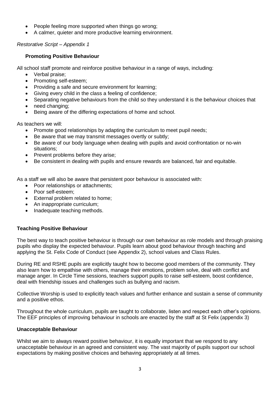- People feeling more supported when things go wrong;
- A calmer, quieter and more productive learning environment.

### *Restorative Script – Appendix 1*

### **Promoting Positive Behaviour**

All school staff promote and reinforce positive behaviour in a range of ways, including:

- Verbal praise;
- Promoting self-esteem;
- Providing a safe and secure environment for learning;
- Giving every child in the class a feeling of confidence;
- Separating negative behaviours from the child so they understand it is the behaviour choices that
- need changing:
- Being aware of the differing expectations of home and school.

As teachers we will:

- Promote good relationships by adapting the curriculum to meet pupil needs;
- Be aware that we may transmit messages overtly or subtly;
- Be aware of our body language when dealing with pupils and avoid confrontation or no-win situations;
- Prevent problems before they arise;
- Be consistent in dealing with pupils and ensure rewards are balanced, fair and equitable.

As a staff we will also be aware that persistent poor behaviour is associated with:

- Poor relationships or attachments:
- Poor self-esteem;
- External problem related to home;
- An inappropriate curriculum;
- Inadequate teaching methods.

### **Teaching Positive Behaviour**

The best way to teach positive behaviour is through our own behaviour as role models and through praising pupils who display the expected behaviour. Pupils learn about good behaviour through teaching and applying the St. Felix Code of Conduct (see Appendix 2), school values and Class Rules.

During RE and RSHE pupils are explicitly taught how to become good members of the community. They also learn how to empathise with others, manage their emotions, problem solve, deal with conflict and manage anger. In Circle Time sessions, teachers support pupils to raise self-esteem, boost confidence, deal with friendship issues and challenges such as bullying and racism.

Collective Worship is used to explicitly teach values and further enhance and sustain a sense of community and a positive ethos.

Throughout the whole curriculum, pupils are taught to collaborate, listen and respect each other's opinions. The EEF principles of improving behaviour in schools are enacted by the staff at St Felix (appendix 3)

### **Unacceptable Behaviour**

Whilst we aim to always reward positive behaviour, it is equally important that we respond to any unacceptable behaviour in an agreed and consistent way. The vast majority of pupils support our school expectations by making positive choices and behaving appropriately at all times.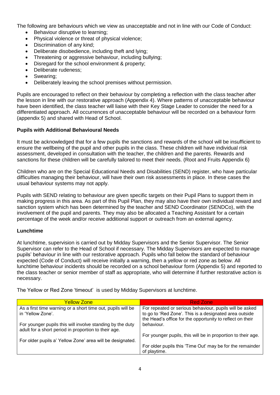The following are behaviours which we view as unacceptable and not in line with our Code of Conduct:

- Behaviour disruptive to learning;
- Physical violence or threat of physical violence;
- Discrimination of any kind;
- Deliberate disobedience, including theft and lying;
- Threatening or aggressive behaviour, including bullying;
- Disregard for the school environment & property;
- Deliberate rudeness;
- Swearing;
- Deliberately leaving the school premises without permission.

Pupils are encouraged to reflect on their behaviour by completing a reflection with the class teacher after the lesson in line with our restorative approach (Appendix 4). Where patterns of unacceptable behaviour have been identified, the class teacher will liaise with their Key Stage Leader to consider the need for a differentiated approach. All occurrences of unacceptable behaviour will be recorded on a behaviour form (appendix 5) and shared with Head of School.

### **Pupils with Additional Behavioural Needs**

It must be acknowledged that for a few pupils the sanctions and rewards of the school will be insufficient to ensure the wellbeing of the pupil and other pupils in the class. These children will have individual risk assessment, developed in consultation with the teacher, the children and the parents. Rewards and sanctions for these children will be carefully tailored to meet their needs. (Root and Fruits Appendix 6)

Children who are on the Special Educational Needs and Disabilities (SEND) register, who have particular difficulties managing their behaviour, will have their own risk assessments in place. In these cases the usual behaviour systems may not apply.

Pupils with SEND relating to behaviour are given specific targets on their Pupil Plans to support them in making progress in this area. As part of this Pupil Plan, they may also have their own individual reward and sanction system which has been determined by the teacher and SEND Coordinator (SENDCo), with the involvement of the pupil and parents. They may also be allocated a Teaching Assistant for a certain percentage of the week and/or receive additional support or outreach from an external agency.

### **Lunchtime**

At lunchtime, supervision is carried out by Midday Supervisors and the Senior Supervisor. The Senior Supervisor can refer to the Head of School if necessary. The Midday Supervisors are expected to manage pupils' behaviour in line with our restorative approach. Pupils who fall below the standard of behaviour expected (Code of Conduct) will receive initially a warning, then a yellow or red zone as below. All lunchtime behaviour incidents should be recorded on a school behaviour form (Appendix 5) and reported to the class teacher or senior member of staff as appropriate, who will determine if further restorative action is necessary.

The Yellow or Red Zone 'timeout' is used by Midday Supervisors at lunchtime.

| <b>Yellow Zone</b>                                                                                                | Red Zone                                                                                                                                                                       |
|-------------------------------------------------------------------------------------------------------------------|--------------------------------------------------------------------------------------------------------------------------------------------------------------------------------|
| As a first time warning or a short time out, pupils will be<br>in 'Yellow Zone'.                                  | For repeated or serious behaviour, pupils will be asked<br>to go to 'Red Zone'. This is a designated area outside<br>the Head's office for the opportunity to reflect on their |
| For younger pupils this will involve standing by the duty<br>adult for a short period in proportion to their age. | behaviour.                                                                                                                                                                     |
|                                                                                                                   | For younger pupils, this will be in proportion to their age.                                                                                                                   |
| For older pupils a' Yellow Zone' area will be designated.                                                         | For older pupils this 'Time Out' may be for the remainder<br>of playtime.                                                                                                      |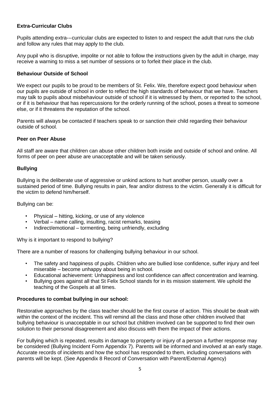### **Extra-Curricular Clubs**

Pupils attending extra--‐curricular clubs are expected to listen to and respect the adult that runs the club and follow any rules that may apply to the club.

Any pupil who is disruptive, impolite or not able to follow the instructions given by the adult in charge, may receive a warning to miss a set number of sessions or to forfeit their place in the club.

#### **Behaviour Outside of School**

We expect our pupils to be proud to be members of St. Felix. We, therefore expect good behaviour when our pupils are outside of school in order to reflect the high standards of behaviour that we have. Teachers may talk to pupils about misbehaviour outside of school if it is witnessed by them, or reported to the school, or if it is behaviour that has repercussions for the orderly running of the school, poses a threat to someone else, or if it threatens the reputation of the school.

Parents will always be contacted if teachers speak to or sanction their child regarding their behaviour outside of school.

#### **Peer on Peer Abuse**

All staff are aware that children can abuse other children both inside and outside of school and online. All forms of peer on peer abuse are unacceptable and will be taken seriously.

### **Bullying**

Bullying is the deliberate use of aggressive or unkind actions to hurt another person, usually over a sustained period of time. Bullying results in pain, fear and/or distress to the victim. Generally it is difficult for the victim to defend him/herself.

#### Bullying can be:

- Physical hitting, kicking, or use of any violence
- Verbal name calling, insulting, racist remarks, teasing
- Indirect/emotional tormenting, being unfriendly, excluding

Why is it important to respond to bullying?

There are a number of reasons for challenging bullying behaviour in our school.

- The safety and happiness of pupils. Children who are bullied lose confidence, suffer injury and feel miserable – become unhappy about being in school.
- Educational achievement: Unhappiness and lost confidence can affect concentration and learning.
- Bullying goes against all that St Felix School stands for in its mission statement. We uphold the teaching of the Gospels at all times.

### **Procedures to combat bullying in our school:**

Restorative approaches by the class teacher should be the first course of action. This should be dealt with within the context of the incident. This will remind all the class and those other children involved that bullying behaviour is unacceptable in our school but children involved can be supported to find their own solution to their personal disagreement and also discuss with them the impact of their actions.

For bullying which is repeated, results in damage to property or injury of a person a further response may be considered (Bullying Incident Form Appendix 7). Parents will be informed and involved at an early stage. Accurate records of incidents and how the school has responded to them, including conversations with parents will be kept. (See Appendix 8 Record of Conversation with Parent/External Agency)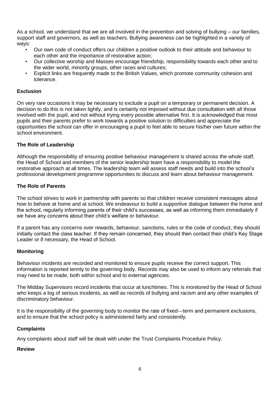As a school, we understand that we are all involved in the prevention and solving of bullying – our families, support staff and governors, as well as teachers. Bullying awareness can be highlighted in a variety of ways:

- Our own code of conduct offers our children a positive outlook to their attitude and behaviour to each other and the importance of restorative action;
- Our collective worship and Masses encourage friendship, responsibility towards each other and to the wider world, minority groups, other races and cultures;
- Explicit links are frequently made to the British Values, which promote community cohesion and tolerance.

### **Exclusion**

On very rare occasions it may be necessary to exclude a pupil on a temporary or permanent decision. A decision to do this is not taken lightly, and is certainly not imposed without due consultation with all those involved with the pupil, and not without trying every possible alternative first. It is acknowledged that most pupils and their parents prefer to work towards a positive solution to difficulties and appreciate the opportunities the school can offer in encouraging a pupil to feel able to secure his/her own future within the school environment.

### **The Role of Leadership**

Although the responsibility of ensuring positive behaviour management is shared across the whole staff, the Head of School and members of the senior leadership team have a responsibility to model the restorative approach at all times. The leadership team will assess staff needs and build into the school's professional development programme opportunities to discuss and learn about behaviour management.

### **The Role of Parents**

The school strives to work in partnership with parents so that children receive consistent messages about how to behave at home and at school. We endeavour to build a supportive dialogue between the home and the school, regularly informing parents of their child's successes, as well as informing them immediately if we have any concerns about their child's welfare or behaviour.

If a parent has any concerns over rewards, behaviour, sanctions, rules or the code of conduct, they should initially contact the class teacher. If they remain concerned, they should then contact their child's Key Stage Leader or if necessary, the Head of School.

### **Monitoring**

Behaviour incidents are recorded and monitored to ensure pupils receive the correct support. This information is reported termly to the governing body. Records may also be used to inform any referrals that may need to be made, both within school and to external agencies.

The Midday Supervisors record incidents that occur at lunchtimes. This is monitored by the Head of School who keeps a log of serious incidents, as well as records of bullying and racism and any other examples of discriminatory behaviour.

It is the responsibility of the governing body to monitor the rate of fixed--‐term and permanent exclusions, and to ensure that the school policy is administered fairly and consistently.

### **Complaints**

Any complaints about staff will be dealt with under the Trust Complaints Procedure Policy.

### **Review**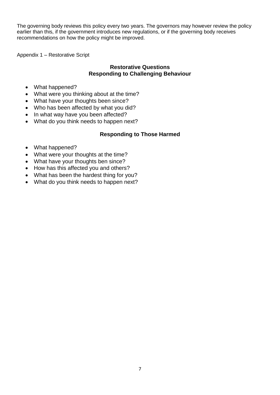The governing body reviews this policy every two years. The governors may however review the policy earlier than this, if the government introduces new regulations, or if the governing body receives recommendations on how the policy might be improved.

Appendix 1 – Restorative Script

### **Restorative Questions Responding to Challenging Behaviour**

- What happened?
- What were you thinking about at the time?
- What have your thoughts been since?
- Who has been affected by what you did?
- In what way have you been affected?
- What do you think needs to happen next?

### **Responding to Those Harmed**

- What happened?
- What were your thoughts at the time?
- What have your thoughts ben since?
- How has this affected you and others?
- What has been the hardest thing for you?
- What do you think needs to happen next?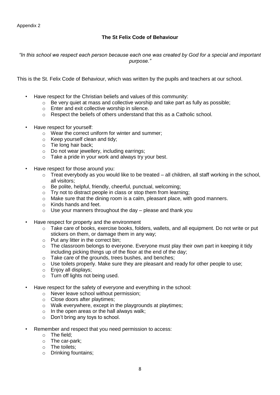### **The St Felix Code of Behaviour**

*"In this school we respect each person because each one was created by God for a special and important purpose."*

This is the St. Felix Code of Behaviour, which was written by the pupils and teachers at our school.

- Have respect for the Christian beliefs and values of this community:
	- $\circ$  Be very quiet at mass and collective worship and take part as fully as possible;
	- o Enter and exit collective worship in silence.
	- o Respect the beliefs of others understand that this as a Catholic school.
- Have respect for yourself:
	- o Wear the correct uniform for winter and summer;
	- o Keep yourself clean and tidy;
	- o Tie long hair back;
	- o Do not wear jewellery, including earrings;
	- o Take a pride in your work and always try your best.
- Have respect for those around you:
	- $\circ$  Treat everybody as you would like to be treated all children, all staff working in the school, all visitors;
	- o Be polite, helpful, friendly, cheerful, punctual, welcoming;
	- $\circ$  Try not to distract people in class or stop them from learning;
	- o Make sure that the dining room is a calm, pleasant place, with good manners.
	- o Kinds hands and feet.
	- $\circ$  Use your manners throughout the day please and thank you
- Have respect for property and the environment
	- o Take care of books, exercise books, folders, wallets, and all equipment. Do not write or put stickers on them, or damage them in any way;
	- o Put any litter in the correct bin;
	- o The classroom belongs to everyone. Everyone must play their own part in keeping it tidy including picking things up of the floor at the end of the day;
	- o Take care of the grounds, trees bushes, and benches;
	- o Use toilets properly. Make sure they are pleasant and ready for other people to use;
	- $\circ$  Enjoy all displays:
	- o Turn off lights not being used.
- Have respect for the safety of everyone and everything in the school:
	- o Never leave school without permission;
	- o Close doors after playtimes;
	- o Walk everywhere, except in the playgrounds at playtimes;
	- o In the open areas or the hall always walk;
	- o Don't bring any toys to school.
	- Remember and respect that you need permission to access:
		- o The field;
		- o The car-park;
		- o The toilets;
		- o Drinking fountains;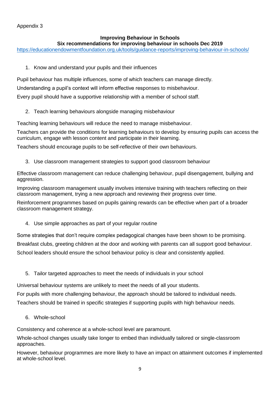### Appendix 3

### **Improving Behaviour in Schools**

### **Six recommendations for improving behaviour in schools Dec 2019**

<https://educationendowmentfoundation.org.uk/tools/guidance-reports/improving-behaviour-in-schools/>

1. Know and understand your pupils and their influences

Pupil behaviour has multiple influences, some of which teachers can manage directly.

Understanding a pupil's context will inform effective responses to misbehaviour.

Every pupil should have a supportive relationship with a member of school staff.

2. Teach learning behaviours alongside managing misbehaviour

Teaching learning behaviours will reduce the need to manage misbehaviour.

Teachers can provide the conditions for learning behaviours to develop by ensuring pupils can access the curriculum, engage with lesson content and participate in their learning.

Teachers should encourage pupils to be self-reflective of their own behaviours.

3. Use classroom management strategies to support good classroom behaviour

Effective classroom management can reduce challenging behaviour, pupil disengagement, bullying and aggression.

Improving classroom management usually involves intensive training with teachers reflecting on their classroom management, trying a new approach and reviewing their progress over time.

Reinforcement programmes based on pupils gaining rewards can be effective when part of a broader classroom management strategy.

4. Use simple approaches as part of your regular routine

Some strategies that don't require complex pedagogical changes have been shown to be promising.

Breakfast clubs, greeting children at the door and working with parents can all support good behaviour.

School leaders should ensure the school behaviour policy is clear and consistently applied.

5. Tailor targeted approaches to meet the needs of individuals in your school

Universal behaviour systems are unlikely to meet the needs of all your students.

For pupils with more challenging behaviour, the approach should be tailored to individual needs.

Teachers should be trained in specific strategies if supporting pupils with high behaviour needs.

6. Whole-school

Consistency and coherence at a whole-school level are paramount.

Whole-school changes usually take longer to embed than individually tailored or single-classroom approaches.

However, behaviour programmes are more likely to have an impact on attainment outcomes if implemented at whole-school level.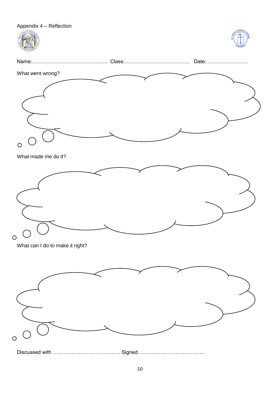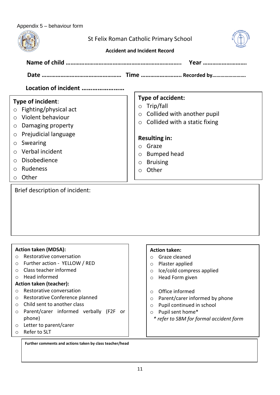### Appendix 5 – behaviour form

| $30.00$ borraviour roma<br>St Felix Roman Catholic Primary School<br><b>Accident and Incident Record</b><br>Year                                                                                                                                   |                                                                                                                                                                                       |  |  |  |
|----------------------------------------------------------------------------------------------------------------------------------------------------------------------------------------------------------------------------------------------------|---------------------------------------------------------------------------------------------------------------------------------------------------------------------------------------|--|--|--|
|                                                                                                                                                                                                                                                    |                                                                                                                                                                                       |  |  |  |
| Location of incident                                                                                                                                                                                                                               |                                                                                                                                                                                       |  |  |  |
| Type of incident:<br>Fighting/physical act<br>$\bigcirc$<br>Violent behaviour<br>$\bigcirc$<br>Damaging property<br>$\circ$<br>Prejudicial language<br>$\circ$                                                                                     | <b>Type of accident:</b><br>Trip/fall<br>$\bigcirc$<br>Collided with another pupil<br>$\circ$<br>$\circ$ Collided with a static fixing                                                |  |  |  |
| Swearing<br>$\circ$<br>Verbal incident<br>$\circ$<br>Disobedience<br>$\circ$<br>Rudeness<br>$\circ$<br>Other<br>$\circ$                                                                                                                            | <b>Resulting in:</b><br>Graze<br>$\circ$<br><b>Bumped head</b><br>$\circ$<br><b>Bruising</b><br>$\circ$<br>Other<br>$\circ$                                                           |  |  |  |
| Brief description of incident:                                                                                                                                                                                                                     |                                                                                                                                                                                       |  |  |  |
| <b>Action taken (MDSA):</b><br>Restorative conversation<br>$\circ$<br>Further action - YELLOW / RED<br>$\circ$<br>Class teacher informed<br>O<br>Head informed<br>$\circ$<br><b>Action taken (teacher):</b><br>Restorative conversation<br>$\circ$ | <b>Action taken:</b><br>Graze cleaned<br>$\bigcirc$<br>Plaster applied<br>$\circ$<br>Ice/cold compress applied<br>$\circ$<br>Head Form given<br>$\circ$<br>Office informed<br>$\circ$ |  |  |  |

- o Restorative Conference planned
- o Child sent to another class
- o Parent/carer informed verbally (F2F or phone)
- o Letter to parent/carer
- o Refer to SLT

Ī

**Further comments and actions taken by class teacher/head** 

- o Office informed
- o Parent/carer informed by phone
- o Pupil continued in school
- o Pupil sent home\*
	- *\* refer to SBM for formal accident form*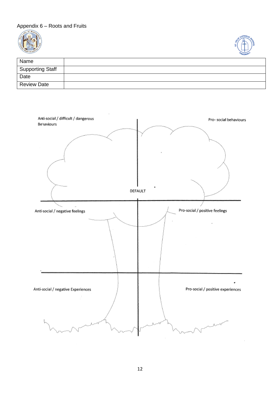### Appendix 6 – Roots and Fruits





| Name                    |  |
|-------------------------|--|
| <b>Supporting Staff</b> |  |
| Date                    |  |
| <b>Review Date</b>      |  |

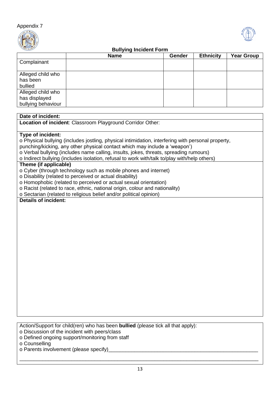



### **Bullying Incident Form**

|                                                          | <b>Name</b> | Gender | <b>Ethnicity</b> | <b>Year Group</b> |
|----------------------------------------------------------|-------------|--------|------------------|-------------------|
| Complainant                                              |             |        |                  |                   |
| Alleged child who<br>has been<br>bullied                 |             |        |                  |                   |
| Alleged child who<br>has displayed<br>bullying behaviour |             |        |                  |                   |

### **Date of incident:**

**Location of incident**: Classroom Playground Corridor Other:

#### **Type of incident:**

o Physical bullying (includes jostling, physical intimidation, interfering with personal property,

punching/kicking, any other physical contact which may include a 'weapon')

o Verbal bullying (includes name calling, insults, jokes, threats, spreading rumours)

o Indirect bullying (includes isolation, refusal to work with/talk to/play with/help others)

### **Theme (if applicable)**

o Cyber (through technology such as mobile phones and internet)

- o Disability (related to perceived or actual disability)
- o Homophobic (related to perceived or actual sexual orientation)
- o Racist (related to race, ethnic, national origin, colour and nationality)
- o Sectarian (related to religious belief and/or political opinion)

### **Details of incident:**

Action/Support for child(ren) who has been **bullied** (please tick all that apply):

- o Discussion of the incident with peers/class
- o Defined ongoing support/monitoring from staff
- o Counselling

o Parents involvement (please specify)\_\_\_\_\_\_\_\_\_\_\_\_\_\_\_\_\_\_\_\_\_\_\_\_\_\_\_\_\_\_\_\_\_\_\_\_\_\_\_\_\_\_\_\_\_\_\_\_\_\_\_\_

\_\_\_\_\_\_\_\_\_\_\_\_\_\_\_\_\_\_\_\_\_\_\_\_\_\_\_\_\_\_\_\_\_\_\_\_\_\_\_\_\_\_\_\_\_\_\_\_\_\_\_\_\_\_\_\_\_\_\_\_\_\_\_\_\_\_\_\_\_\_\_\_\_\_\_\_\_\_\_\_\_\_\_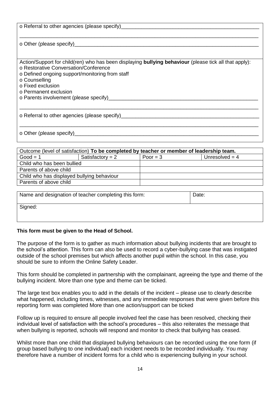| o Referral to other agencies (please specify)________                                                                                                                                                                                                                                         |
|-----------------------------------------------------------------------------------------------------------------------------------------------------------------------------------------------------------------------------------------------------------------------------------------------|
|                                                                                                                                                                                                                                                                                               |
| Action/Support for child(ren) who has been displaying bullying behaviour (please tick all that apply):<br>o Restorative Conversation/Conference<br>o Defined ongoing support/monitoring from staff                                                                                            |
| o Counselling<br>o Fixed exclusion<br>o Permanent exclusion<br>o Parents involvement (please specify) example and the control of the control of the control of the control of the control of the control of the control of the control of the control of the control of the control of the co |
| o Referral to other agencies (please specify)___________________________________                                                                                                                                                                                                              |
| o Other (please specify) <u>contained</u>                                                                                                                                                                                                                                                     |

| Outcome (level of satisfaction) To be completed by teacher or member of leadership team. |                    |            |                  |
|------------------------------------------------------------------------------------------|--------------------|------------|------------------|
| $Good = 1$                                                                               | Satisfactory = $2$ | Poor = $3$ | Unresolved $=$ 4 |
| Child who has been bullied                                                               |                    |            |                  |
| Parents of above child                                                                   |                    |            |                  |
| Child who has displayed bullying behaviour                                               |                    |            |                  |
| Parents of above child                                                                   |                    |            |                  |
|                                                                                          |                    |            |                  |

| Name and designation of teacher completing this form: | Date: |
|-------------------------------------------------------|-------|
| Signed:                                               |       |

### **This form must be given to the Head of School.**

The purpose of the form is to gather as much information about bullying incidents that are brought to the school's attention. This form can also be used to record a cyber-bullying case that was instigated outside of the school premises but which affects another pupil within the school. In this case, you should be sure to inform the Online Safety Leader.

This form should be completed in partnership with the complainant, agreeing the type and theme of the bullying incident. More than one type and theme can be ticked.

The large text box enables you to add in the details of the incident – please use to clearly describe what happened, including times, witnesses, and any immediate responses that were given before this reporting form was completed More than one action/support can be ticked

Follow up is required to ensure all people involved feel the case has been resolved, checking their individual level of satisfaction with the school's procedures – this also reiterates the message that when bullying is reported, schools will respond and monitor to check that bullying has ceased.

Whilst more than one child that displayed bullying behaviours can be recorded using the one form (if group based bullying to one individual) each incident needs to be recorded individually. You may therefore have a number of incident forms for a child who is experiencing bullying in your school.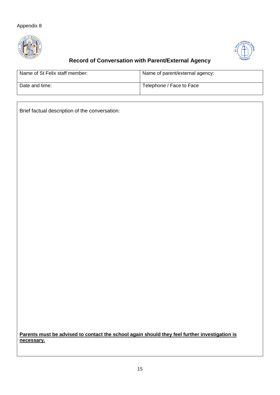### Appendix 8





## **Record of Conversation with Parent/External Agency**

| Name of St Felix staff member: | Name of parent/external agency: |
|--------------------------------|---------------------------------|
| Date and time:                 | Telephone / Face to Face        |

Brief factual description of the conversation:

**Parents must be advised to contact the school again should they feel further investigation is necessary.**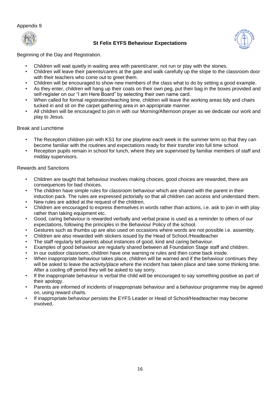#### Appendix 9



### **St Felix EYFS Behaviour Expectations**



Beginning of the Day and Registration.

- Children will wait quietly in waiting area with parent/carer, not run or play with the stones.
- Children will leave their parents/carers at the gate and walk carefully up the slope to the classroom door with their teachers who come out to greet them.
- Children will be encouraged to show new members of the class what to do by setting a good example.
- As they enter, children will hang up their coats on their own peg, put their bag in the boxes provided and self-register on our "I am Here Board" by selecting their own name card.
- When called for formal registration/teaching time, children will leave the working areas tidy and chairs tucked in and sit on the carpet gathering area in an appropriate manner.
- All children will be encouraged to join in with our Morning/Afternoon prayer as we dedicate our work and play to Jesus.

#### Break and Lunchtime

- The Reception children join with KS1 for one playtime each week in the summer term so that they can become familiar with the routines and expectations ready for their transfer into full time school.
- Reception pupils remain in school for lunch, where they are supervised by familiar members of staff and midday supervisors.

#### Rewards and Sanctions

- Children are taught that behaviour involves making choices, good choices are rewarded, there are consequences for bad choices.
- The children have simple rules for classroom behaviour which are shared with the parent in their induction pack. The rules are expressed pictorially so that all children can access and understand them.
- New rules are added at the request of the children.
- Children are encouraged to express themselves in words rather than actions, i.e. ask to join in with play rather than taking equipment etc.
- Good, caring behaviour is rewarded verbally and verbal praise is used as a reminder to others of our expectations, following the principles in the Behaviour Policy of the school.
- Gestures such as thumbs up are also used on occasions where words are not possible i.e. assembly.
- Children are also rewarded with stickers issued by the Head of School./Headteacher
- The staff regularly tell parents about instances of good, kind and caring behaviour.
- Examples of good behaviour are regularly shared between all Foundation Stage staff and children.
- In our outdoor classroom, children have one warning re rules and then come back inside.
- When inappropriate behaviour takes place, children will be warned and if the behaviour continues they will be asked to leave the activity/place where the incident has taken place and take some thinking time. After a cooling off period they will be asked to say sorry.
- If the inappropriate behaviour is verbal the child will be encouraged to say something positive as part of their apology.
- Parents are informed of incidents of inappropriate behaviour and a behaviour programme may be agreed on, using reward charts.
- If inappropriate behaviour persists the EYFS Leader or Head of School/Headteacher may become involved.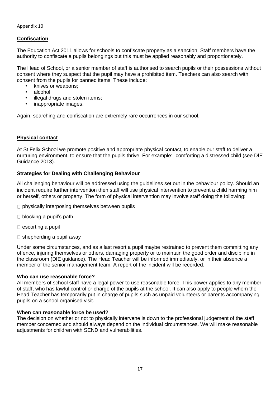### **Confiscation**

The Education Act 2011 allows for schools to confiscate property as a sanction. Staff members have the authority to confiscate a pupils belongings but this must be applied reasonably and proportionately.

The Head of School, or a senior member of staff is authorised to search pupils or their possessions without consent where they suspect that the pupil may have a prohibited item. Teachers can also search with consent from the pupils for banned items. These include:

- knives or weapons;
- alcohol;
- illegal drugs and stolen items;
- inappropriate images.

Again, searching and confiscation are extremely rare occurrences in our school.

### **Physical contact**

At St Felix School we promote positive and appropriate physical contact, to enable our staff to deliver a nurturing environment, to ensure that the pupils thrive. For example: -comforting a distressed child (see DfE Guidance 2013).

### **Strategies for Dealing with Challenging Behaviour**

All challenging behaviour will be addressed using the guidelines set out in the behaviour policy. Should an incident require further intervention then staff will use physical intervention to prevent a child harming him or herself, others or property. The form of physical intervention may involve staff doing the following:

- $\Box$  physically interposing themselves between pupils
- $\Box$  blocking a pupil's path
- $\square$  escorting a pupil
- $\square$  shepherding a pupil away

Under some circumstances, and as a last resort a pupil maybe restrained to prevent them committing any offence, injuring themselves or others, damaging property or to maintain the good order and discipline in the classroom (DfE guidance). The Head Teacher will be informed immediately, or in their absence a member of the senior management team. A report of the incident will be recorded.

### **Who can use reasonable force?**

All members of school staff have a legal power to use reasonable force. This power applies to any member of staff, who has lawful control or charge of the pupils at the school. It can also apply to people whom the Head Teacher has temporarily put in charge of pupils such as unpaid volunteers or parents accompanying pupils on a school organised visit.

### **When can reasonable force be used?**

The decision on whether or not to physically intervene is down to the professional judgement of the staff member concerned and should always depend on the individual circumstances. We will make reasonable adjustments for children with SEND and vulnerabilities.